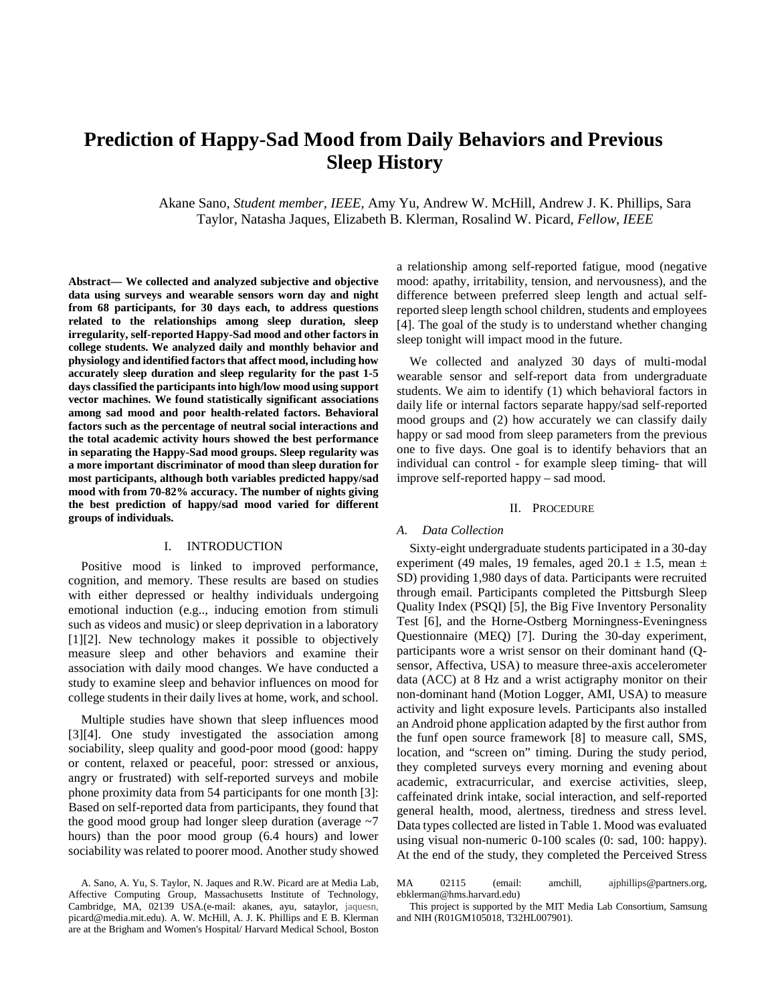# **Prediction of Happy-Sad Mood from Daily Behaviors and Previous Sleep History**

Akane Sano, *Student member, IEEE*, Amy Yu, Andrew W. McHill, Andrew J. K. Phillips, Sara Taylor, Natasha Jaques, Elizabeth B. Klerman, Rosalind W. Picard, *Fellow, IEEE*

**Abstract— We collected and analyzed subjective and objective data using surveys and wearable sensors worn day and night from 68 participants, for 30 days each, to address questions related to the relationships among sleep duration, sleep irregularity, self-reported Happy-Sad mood and other factors in college students. We analyzed daily and monthly behavior and physiology and identified factors that affect mood, including how accurately sleep duration and sleep regularity for the past 1-5 days classified the participants into high/low mood using support vector machines. We found statistically significant associations among sad mood and poor health-related factors. Behavioral factors such as the percentage of neutral social interactions and the total academic activity hours showed the best performance in separating the Happy-Sad mood groups. Sleep regularity was a more important discriminator of mood than sleep duration for most participants, although both variables predicted happy/sad mood with from 70-82% accuracy. The number of nights giving the best prediction of happy/sad mood varied for different groups of individuals.**

## I. INTRODUCTION

Positive mood is linked to improved performance, cognition, and memory. These results are based on studies with either depressed or healthy individuals undergoing emotional induction (e.g.., inducing emotion from stimuli such as videos and music) or sleep deprivation in a laboratory [1][2]. New technology makes it possible to objectively measure sleep and other behaviors and examine their association with daily mood changes. We have conducted a study to examine sleep and behavior influences on mood for college students in their daily lives at home, work, and school.

Multiple studies have shown that sleep influences mood [3][4]. One study investigated the association among sociability, sleep quality and good-poor mood (good: happy or content, relaxed or peaceful, poor: stressed or anxious, angry or frustrated) with self-reported surveys and mobile phone proximity data from 54 participants for one month [3]: Based on self-reported data from participants, they found that the good mood group had longer sleep duration (average  $\sim$ 7 hours) than the poor mood group (6.4 hours) and lower sociability was related to poorer mood. Another study showed a relationship among self-reported fatigue, mood (negative mood: apathy, irritability, tension, and nervousness), and the difference between preferred sleep length and actual selfreported sleep length school children, students and employees [4]. The goal of the study is to understand whether changing sleep tonight will impact mood in the future.

We collected and analyzed 30 days of multi-modal wearable sensor and self-report data from undergraduate students. We aim to identify (1) which behavioral factors in daily life or internal factors separate happy/sad self-reported mood groups and (2) how accurately we can classify daily happy or sad mood from sleep parameters from the previous one to five days. One goal is to identify behaviors that an individual can control - for example sleep timing- that will improve self-reported happy – sad mood.

#### II. PROCEDURE

#### *A. Data Collection*

Sixty-eight undergraduate students participated in a 30-day experiment (49 males, 19 females, aged 20.1  $\pm$  1.5, mean  $\pm$ SD) providing 1,980 days of data. Participants were recruited through email. Participants completed the Pittsburgh Sleep Quality Index (PSQI) [5], the Big Five Inventory Personality Test [6], and the Horne-Ostberg Morningness-Eveningness Questionnaire (MEQ) [7]. During the 30-day experiment, participants wore a wrist sensor on their dominant hand (Qsensor, Affectiva, USA) to measure three-axis accelerometer data (ACC) at 8 Hz and a wrist actigraphy monitor on their non-dominant hand (Motion Logger, AMI, USA) to measure activity and light exposure levels. Participants also installed an Android phone application adapted by the first author from the funf open source framework [8] to measure call, SMS, location, and "screen on" timing. During the study period, they completed surveys every morning and evening about academic, extracurricular, and exercise activities, sleep, caffeinated drink intake, social interaction, and self-reported general health, mood, alertness, tiredness and stress level. Data types collected are listed in Table 1. Mood was evaluated using visual non-numeric 0-100 scales (0: sad, 100: happy). At the end of the study, they completed the Perceived Stress

MA 02115 (email: amchill, ajphillips@partners.org, ebklerman@hms.harvard.edu)

This project is supported by the MIT Media Lab Consortium, Samsung and NIH (R01GM105018, T32HL007901).

A. Sano, A. Yu, S. Taylor, N. Jaques and R.W. Picard are at Media Lab, Affective Computing Group, Massachusetts Institute of Technology, Cambridge, MA, 02139 USA.(e-mail: akanes, ayu, sataylor, jaquesn, picard@media.mit.edu). A. W. McHill, A. J. K. Phillips and E B. Klerman are at the Brigham and Women's Hospital/ Harvard Medical School, Boston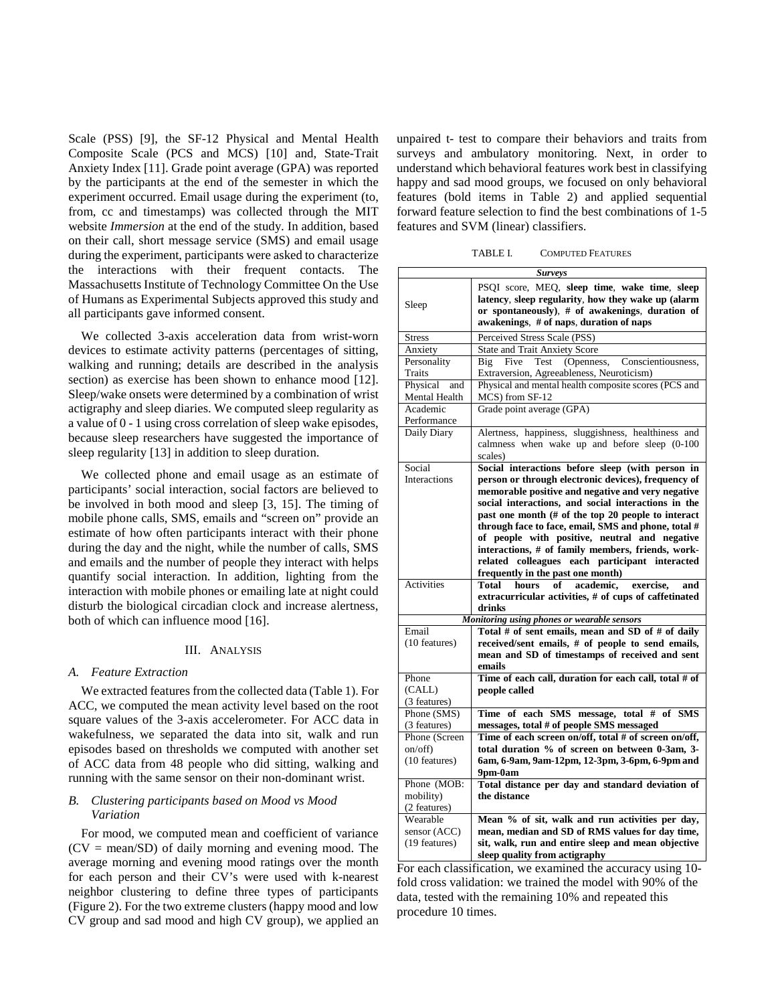Scale (PSS) [9], the SF-12 Physical and Mental Health Composite Scale (PCS and MCS) [10] and, State-Trait Anxiety Index [11]. Grade point average (GPA) was reported by the participants at the end of the semester in which the experiment occurred. Email usage during the experiment (to, from, cc and timestamps) was collected through the MIT website *Immersion* at the end of the study. In addition, based on their call, short message service (SMS) and email usage during the experiment, participants were asked to characterize the interactions with their frequent contacts. The Massachusetts Institute of Technology Committee On the Use of Humans as Experimental Subjects approved this study and all participants gave informed consent.

We collected 3-axis acceleration data from wrist-worn devices to estimate activity patterns (percentages of sitting, walking and running; details are described in the analysis section) as exercise has been shown to enhance mood [12]. Sleep/wake onsets were determined by a combination of wrist actigraphy and sleep diaries. We computed sleep regularity as a value of 0 - 1 using cross correlation of sleep wake episodes, because sleep researchers have suggested the importance of sleep regularity [13] in addition to sleep duration.

We collected phone and email usage as an estimate of participants' social interaction, social factors are believed to be involved in both mood and sleep [3, 15]. The timing of mobile phone calls, SMS, emails and "screen on" provide an estimate of how often participants interact with their phone during the day and the night, while the number of calls, SMS and emails and the number of people they interact with helps quantify social interaction. In addition, lighting from the interaction with mobile phones or emailing late at night could disturb the biological circadian clock and increase alertness, both of which can influence mood [16].

## III. ANALYSIS

## *A. Feature Extraction*

We extracted features from the collected data (Table 1). For ACC, we computed the mean activity level based on the root square values of the 3-axis accelerometer. For ACC data in wakefulness, we separated the data into sit, walk and run episodes based on thresholds we computed with another set of ACC data from 48 people who did sitting, walking and running with the same sensor on their non-dominant wrist.

# *B. Clustering participants based on Mood vs Mood Variation*

For mood, we computed mean and coefficient of variance  $(CV = mean/SD)$  of daily morning and evening mood. The average morning and evening mood ratings over the month for each person and their CV's were used with k-nearest neighbor clustering to define three types of participants (Figure 2). For the two extreme clusters (happy mood and low CV group and sad mood and high CV group), we applied an

unpaired t- test to compare their behaviors and traits from surveys and ambulatory monitoring. Next, in order to understand which behavioral features work best in classifying happy and sad mood groups, we focused on only behavioral features (bold items in Table 2) and applied sequential forward feature selection to find the best combinations of 1-5 features and SVM (linear) classifiers.

| TABLE I. | <b>COMPUTED FEATURES</b> |  |
|----------|--------------------------|--|
|----------|--------------------------|--|

|                                           | <b>Surveys</b>                                                                                                                                                                                                                                                                                                                                                                                                                                                                                                                |
|-------------------------------------------|-------------------------------------------------------------------------------------------------------------------------------------------------------------------------------------------------------------------------------------------------------------------------------------------------------------------------------------------------------------------------------------------------------------------------------------------------------------------------------------------------------------------------------|
| Sleep                                     | PSQI score, MEQ, sleep time, wake time, sleep<br>latency, sleep regularity, how they wake up (alarm<br>or spontaneously), # of awakenings, duration of<br>awakenings, # of naps, duration of naps                                                                                                                                                                                                                                                                                                                             |
| <b>Stress</b>                             | Perceived Stress Scale (PSS)                                                                                                                                                                                                                                                                                                                                                                                                                                                                                                  |
| Anxiety                                   | <b>State and Trait Anxiety Score</b>                                                                                                                                                                                                                                                                                                                                                                                                                                                                                          |
| Personality                               | (Openness,<br>Five<br>Test<br>Conscientiousness,<br>Big                                                                                                                                                                                                                                                                                                                                                                                                                                                                       |
| Traits                                    | Extraversion, Agreeableness, Neuroticism)                                                                                                                                                                                                                                                                                                                                                                                                                                                                                     |
| Physical<br>and                           | Physical and mental health composite scores (PCS and                                                                                                                                                                                                                                                                                                                                                                                                                                                                          |
| Mental Health                             | MCS) from SF-12                                                                                                                                                                                                                                                                                                                                                                                                                                                                                                               |
| Academic                                  | Grade point average (GPA)                                                                                                                                                                                                                                                                                                                                                                                                                                                                                                     |
| Performance                               |                                                                                                                                                                                                                                                                                                                                                                                                                                                                                                                               |
| Daily Diary                               | Alertness, happiness, sluggishness, healthiness and<br>calmness when wake up and before sleep (0-100<br>scales)                                                                                                                                                                                                                                                                                                                                                                                                               |
| Social<br>Interactions                    | Social interactions before sleep (with person in<br>person or through electronic devices), frequency of<br>memorable positive and negative and very negative<br>social interactions, and social interactions in the<br>past one month (# of the top 20 people to interact<br>through face to face, email, SMS and phone, total #<br>of people with positive, neutral and negative<br>interactions, # of family members, friends, work-<br>related colleagues each participant interacted<br>frequently in the past one month) |
| <b>Activities</b>                         | Total<br>hours<br>academic.<br>exercise.<br>of<br>and                                                                                                                                                                                                                                                                                                                                                                                                                                                                         |
|                                           | extracurricular activities, # of cups of caffetinated<br>drinks                                                                                                                                                                                                                                                                                                                                                                                                                                                               |
|                                           | Monitoring using phones or wearable sensors                                                                                                                                                                                                                                                                                                                                                                                                                                                                                   |
| Email                                     | Total # of sent emails, mean and SD of # of daily                                                                                                                                                                                                                                                                                                                                                                                                                                                                             |
| (10 features)                             | received/sent emails, # of people to send emails,<br>mean and SD of timestamps of received and sent<br>emails                                                                                                                                                                                                                                                                                                                                                                                                                 |
| Phone<br>(CALL)<br>(3 features)           | Time of each call, duration for each call, total # of<br>people called                                                                                                                                                                                                                                                                                                                                                                                                                                                        |
| Phone (SMS)<br>(3 features)               | Time of each SMS message, total # of SMS<br>messages, total # of people SMS messaged                                                                                                                                                                                                                                                                                                                                                                                                                                          |
| Phone (Screen                             | Time of each screen on/off, total # of screen on/off,                                                                                                                                                                                                                                                                                                                                                                                                                                                                         |
| on/off)                                   | total duration % of screen on between 0-3am, 3-                                                                                                                                                                                                                                                                                                                                                                                                                                                                               |
| (10 features)                             | 6am, 6-9am, 9am-12pm, 12-3pm, 3-6pm, 6-9pm and                                                                                                                                                                                                                                                                                                                                                                                                                                                                                |
|                                           | 9pm-0am                                                                                                                                                                                                                                                                                                                                                                                                                                                                                                                       |
| Phone (MOB:                               | Total distance per day and standard deviation of                                                                                                                                                                                                                                                                                                                                                                                                                                                                              |
| mobility)                                 | the distance                                                                                                                                                                                                                                                                                                                                                                                                                                                                                                                  |
| (2 features)                              |                                                                                                                                                                                                                                                                                                                                                                                                                                                                                                                               |
| Wearable<br>sensor (ACC)<br>(19 features) | Mean % of sit, walk and run activities per day,<br>mean, median and SD of RMS values for day time,<br>sit, walk, run and entire sleep and mean objective<br>sleep quality from actigraphy                                                                                                                                                                                                                                                                                                                                     |

For each classification, we examined the accuracy using 10 fold cross validation: we trained the model with 90% of the data, tested with the remaining 10% and repeated this procedure 10 times.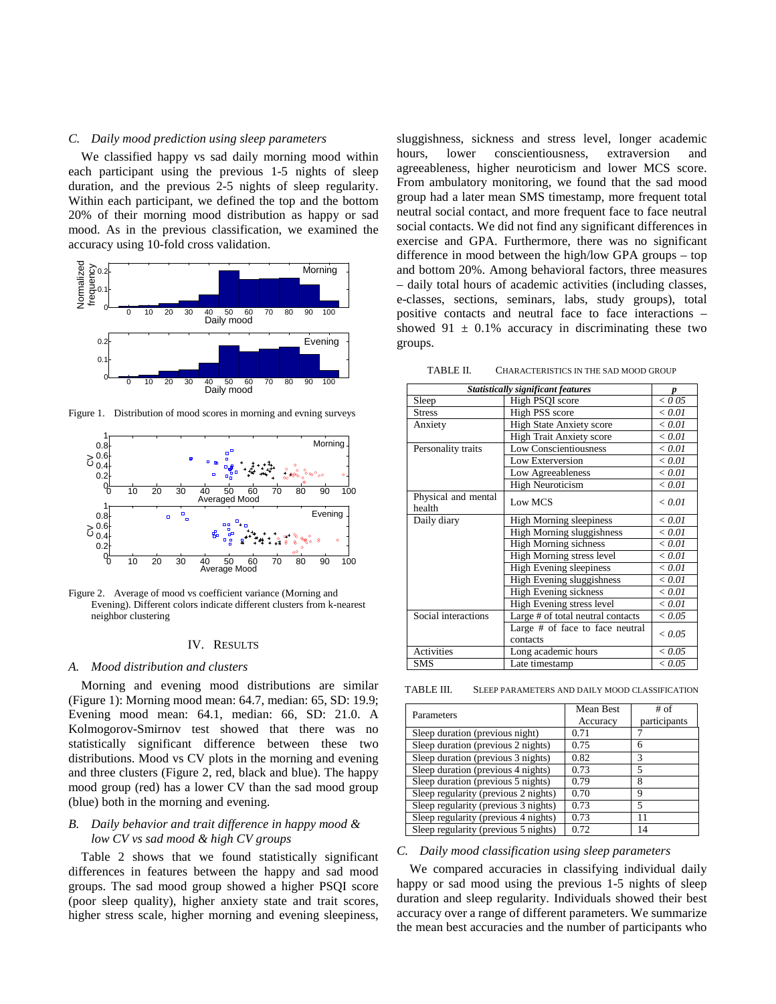## *C. Daily mood prediction using sleep parameters*

We classified happy vs sad daily morning mood within each participant using the previous 1-5 nights of sleep duration, and the previous 2-5 nights of sleep regularity. Within each participant, we defined the top and the bottom 20% of their morning mood distribution as happy or sad mood. As in the previous classification, we examined the accuracy using 10-fold cross validation.



Figure 1. Distribution of mood scores in morning and evning surveys



Figure 2. Average of mood vs coefficient variance (Morning and Evening). Different colors indicate different clusters from k-nearest neighbor clustering

#### IV. RESULTS

#### *A. Mood distribution and clusters*

Morning and evening mood distributions are similar (Figure 1): Morning mood mean: 64.7, median: 65, SD: 19.9; Evening mood mean: 64.1, median: 66, SD: 21.0. A Kolmogorov-Smirnov test showed that there was no statistically significant difference between these two distributions. Mood vs CV plots in the morning and evening and three clusters (Figure 2, red, black and blue). The happy mood group (red) has a lower CV than the sad mood group (blue) both in the morning and evening.

# *B. Daily behavior and trait difference in happy mood & low CV vs sad mood & high CV groups*

Table 2 shows that we found statistically significant differences in features between the happy and sad mood groups. The sad mood group showed a higher PSQI score (poor sleep quality), higher anxiety state and trait scores, higher stress scale, higher morning and evening sleepiness,

sluggishness, sickness and stress level, longer academic hours, lower conscientiousness, extraversion and agreeableness, higher neuroticism and lower MCS score. From ambulatory monitoring, we found that the sad mood group had a later mean SMS timestamp, more frequent total neutral social contact, and more frequent face to face neutral social contacts. We did not find any significant differences in exercise and GPA. Furthermore, there was no significant difference in mood between the high/low GPA groups – top and bottom 20%. Among behavioral factors, three measures – daily total hours of academic activities (including classes, e-classes, sections, seminars, labs, study groups), total positive contacts and neutral face to face interactions – showed  $91 \pm 0.1\%$  accuracy in discriminating these two groups.

TABLE II. CHARACTERISTICS IN THE SAD MOOD GROUP

| <b>Statistically significant features</b> |                                             |                 |
|-------------------------------------------|---------------------------------------------|-----------------|
| Sleep                                     | High PSQI score                             | $<$ 0 05        |
| <b>Stress</b>                             | High PSS score                              | < 0.01          |
| Anxiety                                   | <b>High State Anxiety score</b>             | < 0.01          |
|                                           | <b>High Trait Anxiety score</b>             | < 0.01          |
| Personality traits                        | Low Conscientiousness                       | < 0.01          |
|                                           | Low Exterversion                            | < 0.01          |
|                                           | Low Agreeableness                           | < 0.01          |
|                                           | <b>High Neuroticism</b>                     | < 0.01          |
| Physical and mental<br>health             | Low MCS                                     | $\epsilon$ 0.01 |
| Daily diary                               | <b>High Morning sleepiness</b>              | < 0.01          |
|                                           | <b>High Morning sluggishness</b>            | < 0.01          |
|                                           | <b>High Morning sichness</b>                | < 0.01          |
|                                           | High Morning stress level                   | < 0.01          |
|                                           | <b>High Evening sleepiness</b>              | < 0.01          |
|                                           | High Evening sluggishness                   | < 0.01          |
|                                           | High Evening sickness                       | < 0.01          |
|                                           | High Evening stress level                   | < 0.01          |
| Social interactions                       | Large # of total neutral contacts           | < 0.05          |
|                                           | Large # of face to face neutral<br>contacts | ${}_{< 0.05}$   |
| <b>Activities</b>                         | Long academic hours                         | < 0.05          |
| <b>SMS</b>                                | Late timestamp                              | < 0.05          |

TABLE III. SLEEP PARAMETERS AND DAILY MOOD CLASSIFICATION

| Parameters                           | Mean Best | # of         |
|--------------------------------------|-----------|--------------|
|                                      | Accuracy  | participants |
| Sleep duration (previous night)      | 0.71      |              |
| Sleep duration (previous 2 nights)   | 0.75      | 6            |
| Sleep duration (previous 3 nights)   | 0.82      | 3            |
| Sleep duration (previous 4 nights)   | 0.73      | 5            |
| Sleep duration (previous 5 nights)   | 0.79      | 8            |
| Sleep regularity (previous 2 nights) | 0.70      | 9            |
| Sleep regularity (previous 3 nights) | 0.73      | 5            |
| Sleep regularity (previous 4 nights) | 0.73      | 11           |
| Sleep regularity (previous 5 nights) | 0.72      | 14           |

## *C. Daily mood classification using sleep parameters*

We compared accuracies in classifying individual daily happy or sad mood using the previous 1-5 nights of sleep duration and sleep regularity. Individuals showed their best accuracy over a range of different parameters. We summarize the mean best accuracies and the number of participants who